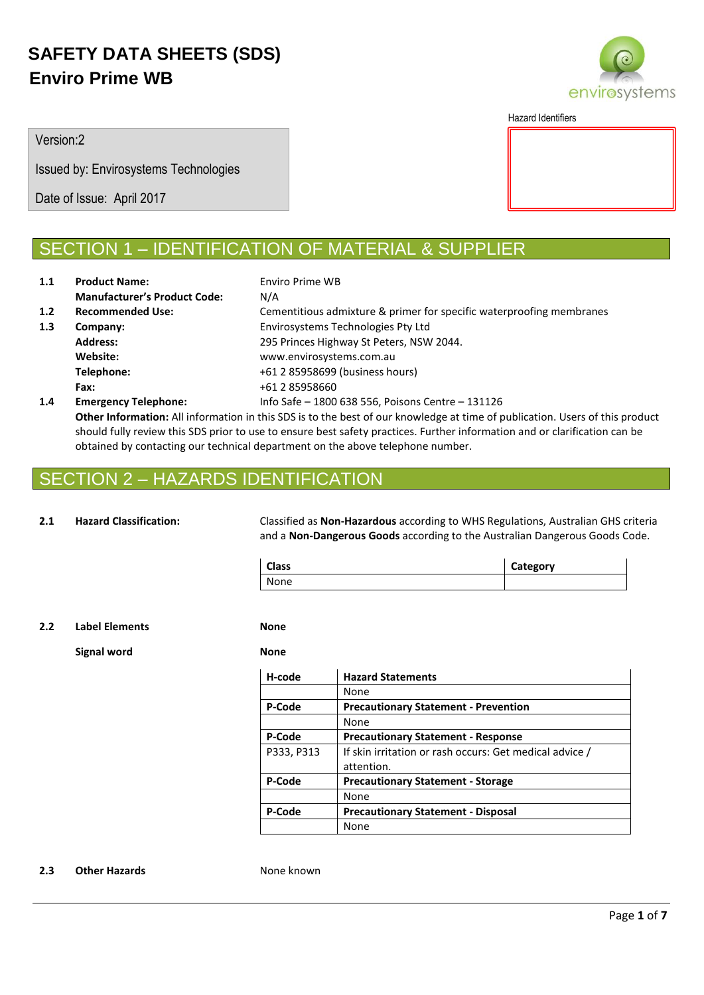

Hazard Identifiers

Version:2

Issued by: Envirosystems Technologies

Date of Issue: April 2017

## **ION 1 – IDENTIFICATION OF MATERIAL & SUPPLIER**

| 1.1 | <b>Product Name:</b>                | Enviro Prime WB                                                      |
|-----|-------------------------------------|----------------------------------------------------------------------|
|     | <b>Manufacturer's Product Code:</b> | N/A                                                                  |
| 1.2 | <b>Recommended Use:</b>             | Cementitious admixture & primer for specific waterproofing membranes |
| 1.3 | Company:                            | Envirosystems Technologies Pty Ltd                                   |
|     | <b>Address:</b>                     | 295 Princes Highway St Peters, NSW 2044.                             |
|     | Website:                            | www.envirosystems.com.au                                             |
|     | Telephone:                          | +61 2 85958699 (business hours)                                      |
|     | Fax:                                | +61 2 85958660                                                       |
| 1.4 | <b>Emergency Telephone:</b>         | Info Safe - 1800 638 556, Poisons Centre - 131126                    |

**Other Information:** All information in this SDS is to the best of our knowledge at time of publication. Users of this product should fully review this SDS prior to use to ensure best safety practices. Further information and or clarification can be obtained by contacting our technical department on the above telephone number.

## 2 – HAZARDS IDENTIFICATION

**2.1 Hazard Classification:** Classified as **Non-Hazardous** according to WHS Regulations, Australian GHS criteria and a **Non-Dangerous Goods** according to the Australian Dangerous Goods Code.

| Class | Category |
|-------|----------|
| None  |          |

**2.2 Label Elements None**

**Signal word None**

| H-code     | <b>Hazard Statements</b>                                |
|------------|---------------------------------------------------------|
|            | None                                                    |
| P-Code     | <b>Precautionary Statement - Prevention</b>             |
|            | None                                                    |
| P-Code     | <b>Precautionary Statement - Response</b>               |
| P333, P313 | If skin irritation or rash occurs: Get medical advice / |
|            | attention.                                              |
| P-Code     | <b>Precautionary Statement - Storage</b>                |
|            | None                                                    |
| P-Code     | <b>Precautionary Statement - Disposal</b>               |
|            | None                                                    |
|            |                                                         |

### **2.3 Other Hazards None known**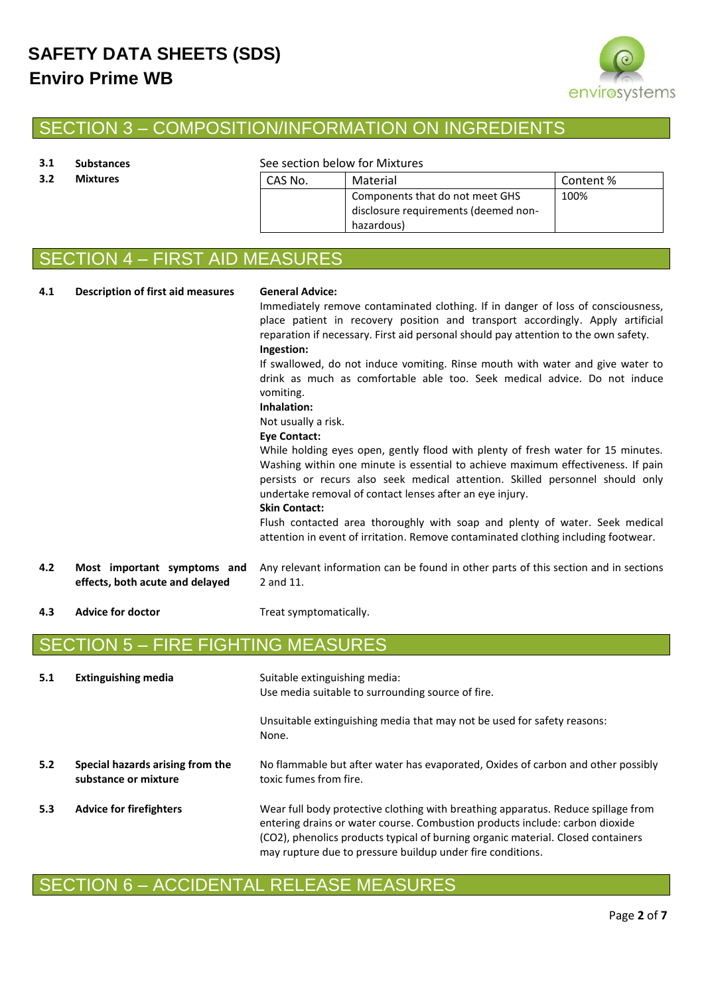

## SECTION 3 – COMPOSITION/INFORMATION ON INGREDIENTS

### **3.1 Substances** See section below for Mixtures

| 3.2 | <b>Mixtures</b> | Material<br>CAS No. |                                                                                       | Content % |
|-----|-----------------|---------------------|---------------------------------------------------------------------------------------|-----------|
|     |                 |                     | Components that do not meet GHS<br>disclosure requirements (deemed non-<br>hazardous) | 100%      |

# SECTION 4 – FIRST AID MEASURES

**4.1 Description of first aid measures General Advice:**

Immediately remove contaminated clothing. If in danger of loss of consciousness, place patient in recovery position and transport accordingly. Apply artificial reparation if necessary. First aid personal should pay attention to the own safety. **Ingestion:**

If swallowed, do not induce vomiting. Rinse mouth with water and give water to drink as much as comfortable able too. Seek medical advice. Do not induce vomiting.

### **Inhalation:**

Not usually a risk.

### **Eye Contact:**

While holding eyes open, gently flood with plenty of fresh water for 15 minutes. Washing within one minute is essential to achieve maximum effectiveness. If pain persists or recurs also seek medical attention. Skilled personnel should only undertake removal of contact lenses after an eye injury.

### **Skin Contact:**

Flush contacted area thoroughly with soap and plenty of water. Seek medical attention in event of irritation. Remove contaminated clothing including footwear.

- **4.2 Most important symptoms and effects, both acute and delayed** Any relevant information can be found in other parts of this section and in sections 2 and 11.
- **4.3 Advice for doctor** Treat symptomatically.

## SECTION 5 – FIRE FIGHTING MEASURES

| 5.1 | <b>Extinguishing media</b>                               | Suitable extinguishing media:<br>Use media suitable to surrounding source of fire.                                                                                                                                                                                                                                  |
|-----|----------------------------------------------------------|---------------------------------------------------------------------------------------------------------------------------------------------------------------------------------------------------------------------------------------------------------------------------------------------------------------------|
|     |                                                          | Unsuitable extinguishing media that may not be used for safety reasons:<br>None.                                                                                                                                                                                                                                    |
| 5.2 | Special hazards arising from the<br>substance or mixture | No flammable but after water has evaporated, Oxides of carbon and other possibly<br>toxic fumes from fire.                                                                                                                                                                                                          |
| 5.3 | <b>Advice for firefighters</b>                           | Wear full body protective clothing with breathing apparatus. Reduce spillage from<br>entering drains or water course. Combustion products include: carbon dioxide<br>(CO2), phenolics products typical of burning organic material. Closed containers<br>may rupture due to pressure buildup under fire conditions. |

## SECTION 6 – ACCIDENTAL RELEASE MEASURES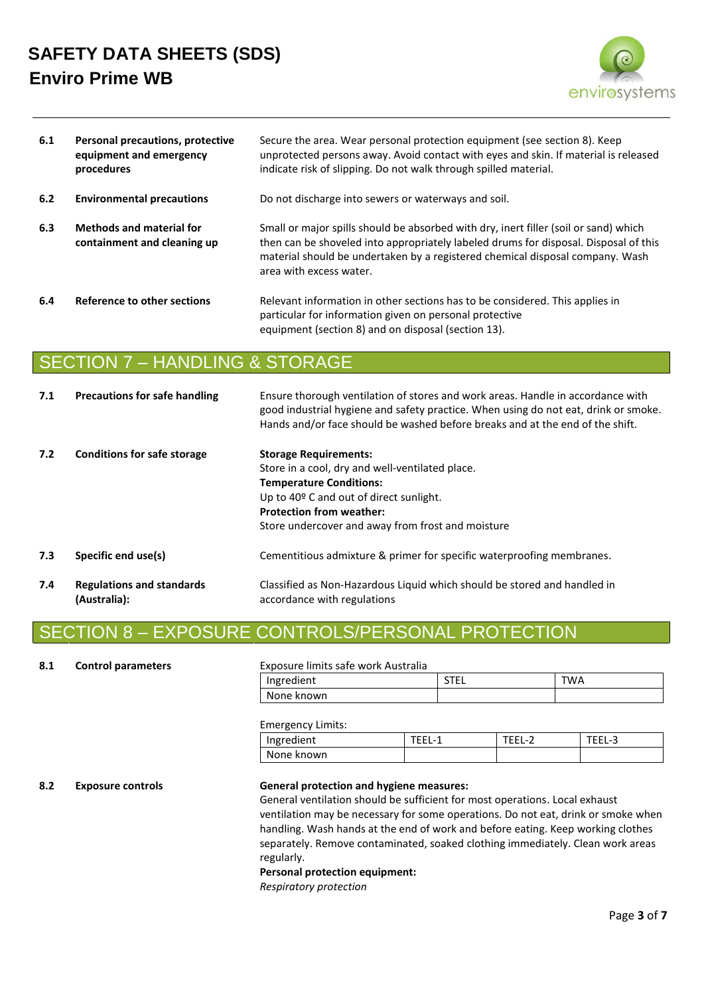

| 6.1 | Personal precautions, protective<br>equipment and emergency<br>procedures | Secure the area. Wear personal protection equipment (see section 8). Keep<br>unprotected persons away. Avoid contact with eyes and skin. If material is released<br>indicate risk of slipping. Do not walk through spilled material.                                                     |
|-----|---------------------------------------------------------------------------|------------------------------------------------------------------------------------------------------------------------------------------------------------------------------------------------------------------------------------------------------------------------------------------|
| 6.2 | <b>Environmental precautions</b>                                          | Do not discharge into sewers or waterways and soil.                                                                                                                                                                                                                                      |
| 6.3 | <b>Methods and material for</b><br>containment and cleaning up            | Small or major spills should be absorbed with dry, inert filler (soil or sand) which<br>then can be shoveled into appropriately labeled drums for disposal. Disposal of this<br>material should be undertaken by a registered chemical disposal company. Wash<br>area with excess water. |
| 6.4 | Reference to other sections                                               | Relevant information in other sections has to be considered. This applies in<br>particular for information given on personal protective<br>equipment (section 8) and on disposal (section 13).                                                                                           |

### SECTION 7 – HANDLING & STORAGE

| 7.1 | <b>Precautions for safe handling</b>             | Ensure thorough ventilation of stores and work areas. Handle in accordance with<br>good industrial hygiene and safety practice. When using do not eat, drink or smoke.<br>Hands and/or face should be washed before breaks and at the end of the shift.       |
|-----|--------------------------------------------------|---------------------------------------------------------------------------------------------------------------------------------------------------------------------------------------------------------------------------------------------------------------|
| 7.2 | <b>Conditions for safe storage</b>               | <b>Storage Requirements:</b><br>Store in a cool, dry and well-ventilated place.<br><b>Temperature Conditions:</b><br>Up to $40^{\circ}$ C and out of direct sunlight.<br><b>Protection from weather:</b><br>Store undercover and away from frost and moisture |
| 7.3 | Specific end use(s)                              | Cementitious admixture & primer for specific waterproofing membranes.                                                                                                                                                                                         |
| 7.4 | <b>Regulations and standards</b><br>(Australia): | Classified as Non-Hazardous Liquid which should be stored and handled in<br>accordance with regulations                                                                                                                                                       |

## SECTION 8 – EXPOSURE CONTROLS/PERSONAL PROTECTION

### **8.1 Control parameters** Exposure limits safe work Australia

| Ingredient | $- - -$<br>-- | TWA |
|------------|---------------|-----|
| None known |               |     |

Emergency Limits:

| Ingredient | H | -<br>- | $\sim$<br>- - |
|------------|---|--------|---------------|
| None known |   |        |               |

### **8.2 Exposure controls General protection and hygiene measures:**

General ventilation should be sufficient for most operations. Local exhaust ventilation may be necessary for some operations. Do not eat, drink or smoke when handling. Wash hands at the end of work and before eating. Keep working clothes separately. Remove contaminated, soaked clothing immediately. Clean work areas regularly.

### **Personal protection equipment:**

*Respiratory protection*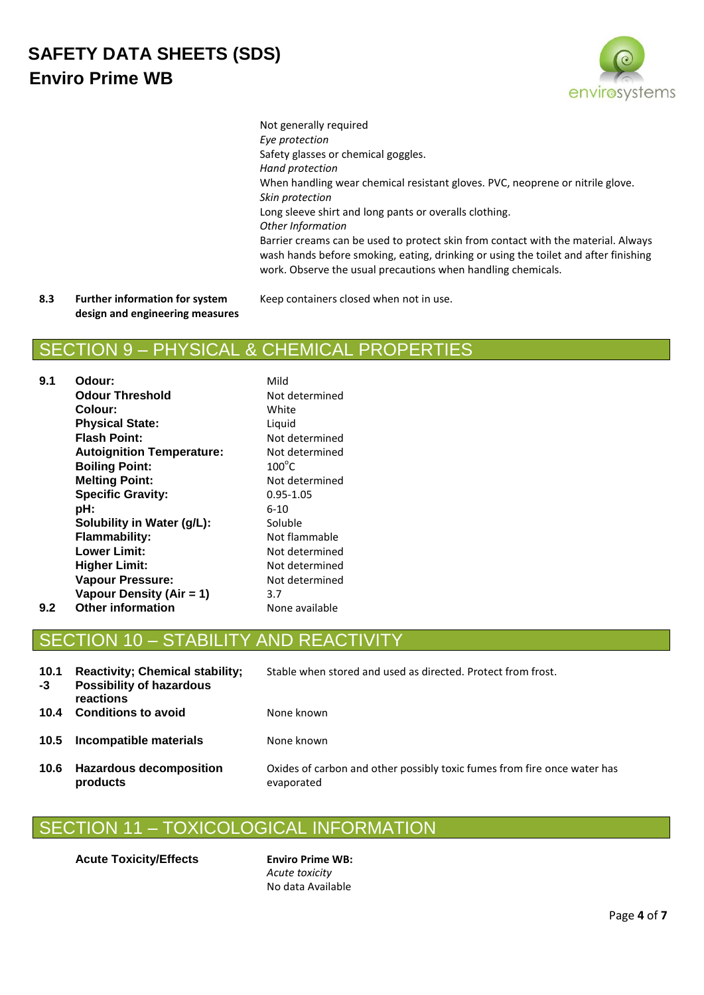

Not generally required *Eye protection* Safety glasses or chemical goggles. *Hand protection* When handling wear chemical resistant gloves. PVC, neoprene or nitrile glove. *Skin protection* Long sleeve shirt and long pants or overalls clothing. *Other Information* Barrier creams can be used to protect skin from contact with the material. Always wash hands before smoking, eating, drinking or using the toilet and after finishing work. Observe the usual precautions when handling chemicals.

**8.3 Further information for system design and engineering measures** Keep containers closed when not in use.

## SECTION 9 – PHYSICAL & CHEMICAL PROPERTIES

| 9.1 | Odour:                           | Mild            |
|-----|----------------------------------|-----------------|
|     | <b>Odour Threshold</b>           | Not determined  |
|     | Colour:                          | White           |
|     | <b>Physical State:</b>           | Liquid          |
|     | <b>Flash Point:</b>              | Not determined  |
|     | <b>Autoignition Temperature:</b> | Not determined  |
|     | <b>Boiling Point:</b>            | $100^{\circ}$ C |
|     | <b>Melting Point:</b>            | Not determined  |
|     | <b>Specific Gravity:</b>         | 0.95-1.05       |
|     | pH:                              | $6 - 10$        |
|     | Solubility in Water (g/L):       | Soluble         |
|     | Flammability:                    | Not flammable   |
|     | <b>Lower Limit:</b>              | Not determined  |
|     | <b>Higher Limit:</b>             | Not determined  |
|     | <b>Vapour Pressure:</b>          | Not determined  |
|     | Vapour Density (Air = 1)         | 3.7             |
| 9.2 | <b>Other information</b>         | None available  |
|     |                                  |                 |

## ON 10 – STABILITY AND REACT

| 10.1<br>-3 | <b>Reactivity; Chemical stability;</b><br><b>Possibility of hazardous</b><br>reactions | Stable when stored and used as directed. Protect from frost.                           |
|------------|----------------------------------------------------------------------------------------|----------------------------------------------------------------------------------------|
| 10.4       | <b>Conditions to avoid</b>                                                             | None known                                                                             |
| 10.5       | Incompatible materials                                                                 | None known                                                                             |
| 10.6       | <b>Hazardous decomposition</b><br>products                                             | Oxides of carbon and other possibly toxic fumes from fire once water has<br>evaporated |

## SECTION 11 – TOXICOLOGICAL INFORMATION

**Acute Toxicity/Effects Enviro Prime WB:** 

*Acute toxicity* No data Available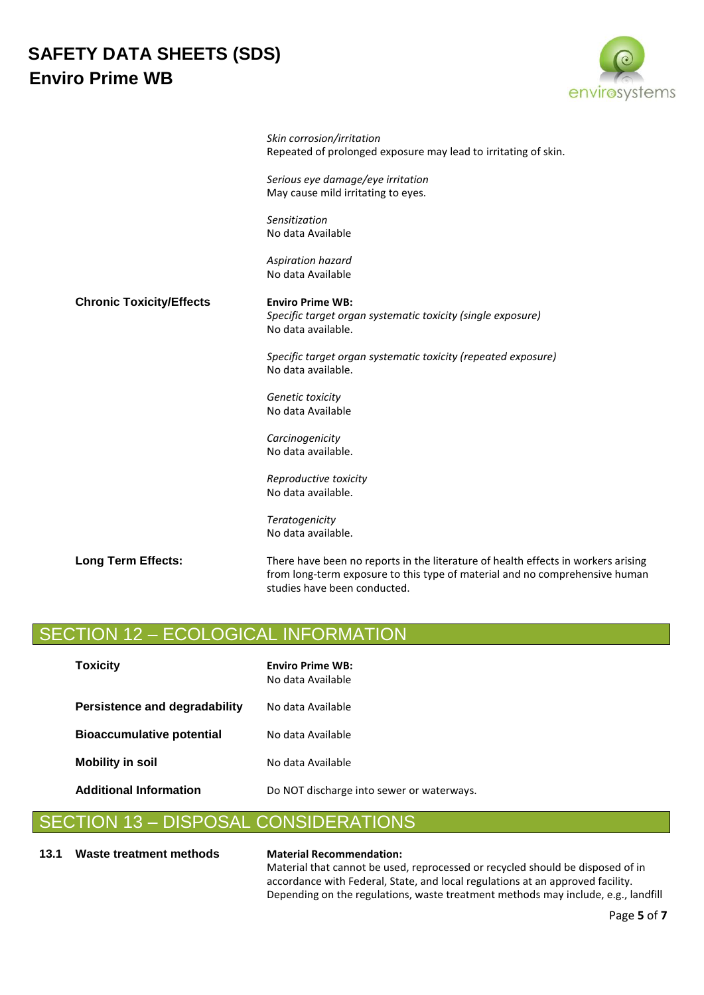

|                                 | Skin corrosion/irritation<br>Repeated of prolonged exposure may lead to irritating of skin.                                                                                                      |
|---------------------------------|--------------------------------------------------------------------------------------------------------------------------------------------------------------------------------------------------|
|                                 | Serious eye damage/eye irritation<br>May cause mild irritating to eyes.                                                                                                                          |
|                                 | Sensitization<br>No data Available                                                                                                                                                               |
|                                 | Aspiration hazard<br>No data Available                                                                                                                                                           |
| <b>Chronic Toxicity/Effects</b> | <b>Enviro Prime WB:</b><br>Specific target organ systematic toxicity (single exposure)<br>No data available.                                                                                     |
|                                 | Specific target organ systematic toxicity (repeated exposure)<br>No data available.                                                                                                              |
|                                 | Genetic toxicity<br>No data Available                                                                                                                                                            |
|                                 | Carcinogenicity<br>No data available.                                                                                                                                                            |
|                                 | Reproductive toxicity<br>No data available.                                                                                                                                                      |
|                                 | Teratogenicity<br>No data available.                                                                                                                                                             |
| <b>Long Term Effects:</b>       | There have been no reports in the literature of health effects in workers arising<br>from long-term exposure to this type of material and no comprehensive human<br>studies have been conducted. |

## SECTION 12 – ECOLOGICAL INFORMATION

| <b>Toxicity</b>                  | <b>Enviro Prime WB:</b><br>No data Available |  |
|----------------------------------|----------------------------------------------|--|
| Persistence and degradability    | No data Available                            |  |
| <b>Bioaccumulative potential</b> | No data Available                            |  |
| <b>Mobility in soil</b>          | No data Available                            |  |
| <b>Additional Information</b>    | Do NOT discharge into sewer or waterways.    |  |

### SECTION 13 – DISPOSAL CONSIDERATIONS

### **13.1 Waste treatment methods Material Recommendation:**

Material that cannot be used, reprocessed or recycled should be disposed of in accordance with Federal, State, and local regulations at an approved facility. Depending on the regulations, waste treatment methods may include, e.g., landfill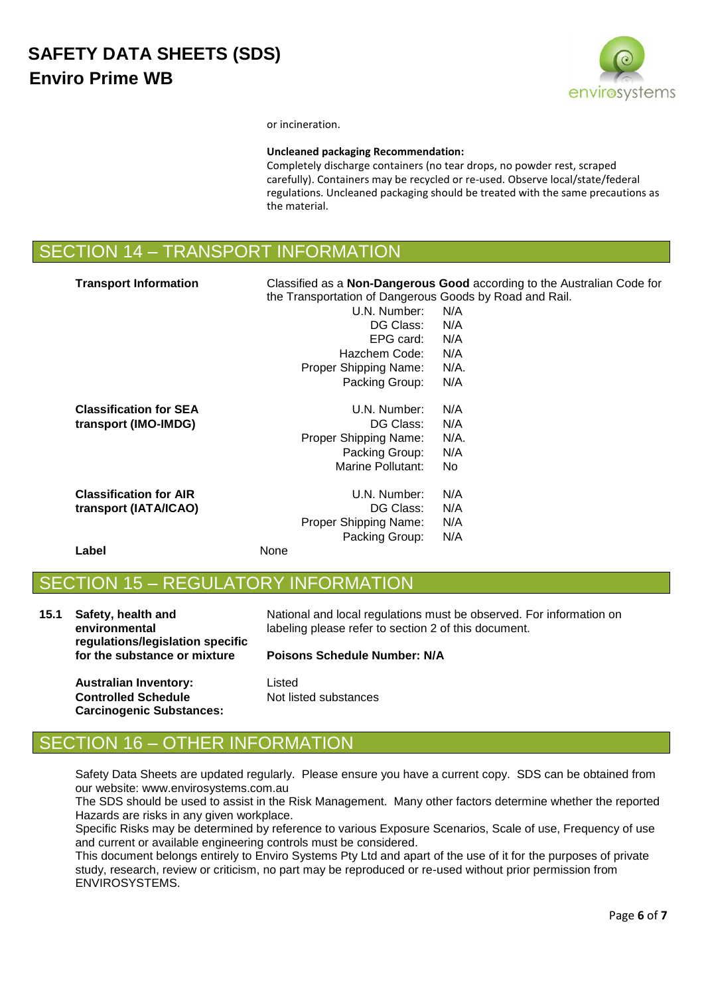

or incineration.

### **Uncleaned packaging Recommendation:**

Completely discharge containers (no tear drops, no powder rest, scraped carefully). Containers may be recycled or re-used. Observe local/state/federal regulations. Uncleaned packaging should be treated with the same precautions as the material.

| SECTION 14 - TRANSPORT INFORMATION |
|------------------------------------|
|------------------------------------|

| <b>Transport Information</b>  | Classified as a <b>Non-Dangerous Good</b> according to the Australian Code for<br>the Transportation of Dangerous Goods by Road and Rail. |      |
|-------------------------------|-------------------------------------------------------------------------------------------------------------------------------------------|------|
|                               | U.N. Number:                                                                                                                              | N/A  |
|                               | DG Class:                                                                                                                                 | N/A  |
|                               | EPG card:                                                                                                                                 | N/A  |
|                               | Hazchem Code:                                                                                                                             | N/A  |
|                               | Proper Shipping Name:                                                                                                                     | N/A. |
|                               | Packing Group:                                                                                                                            | N/A  |
| <b>Classification for SEA</b> | U.N. Number:                                                                                                                              | N/A  |
| transport (IMO-IMDG)          | DG Class:                                                                                                                                 | N/A  |
|                               | Proper Shipping Name:                                                                                                                     | N/A. |
|                               | Packing Group:                                                                                                                            | N/A  |
|                               | Marine Pollutant:                                                                                                                         | No   |
| <b>Classification for AIR</b> | U.N. Number:                                                                                                                              | N/A  |
| transport (IATA/ICAO)         | DG Class:                                                                                                                                 | N/A  |
|                               | Proper Shipping Name:                                                                                                                     | N/A  |
|                               | Packing Group:                                                                                                                            | N/A  |
| Label                         | None                                                                                                                                      |      |

## SECTION 15 – REGULATORY INFORMATION

**15.1 Safety, health and environmental regulations/legislation specific for the substance or mixture**

# **Poisons Schedule Number: N/A**

labeling please refer to section 2 of this document.

National and local regulations must be observed. For information on

**Australian Inventory:** Listed **Controlled Schedule Carcinogenic Substances:**

Not listed substances

## 16 – OTHER INFORMATION

Safety Data Sheets are updated regularly. Please ensure you have a current copy. SDS can be obtained from our website: www.envirosystems.com.au

The SDS should be used to assist in the Risk Management. Many other factors determine whether the reported Hazards are risks in any given workplace.

Specific Risks may be determined by reference to various Exposure Scenarios, Scale of use, Frequency of use and current or available engineering controls must be considered.

This document belongs entirely to Enviro Systems Pty Ltd and apart of the use of it for the purposes of private study, research, review or criticism, no part may be reproduced or re-used without prior permission from ENVIROSYSTEMS.